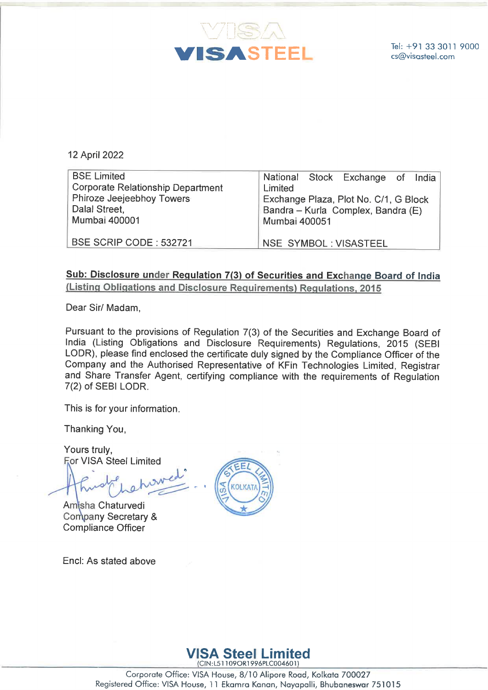

| VISA<br><b>VISASTEEL</b>                                                        | Tel: +91 33 3<br>cs@visasteel.                                                               |
|---------------------------------------------------------------------------------|----------------------------------------------------------------------------------------------|
| 12 April 2022<br><b>BSE Limited</b><br><b>Corporate Relationship Department</b> | <b>National</b><br><b>Stock</b><br>Exchange<br>India<br>of<br>Limited                        |
| Phiroze Jeejeebhoy Towers<br>Dalal Street,<br><b>Mumbai 400001</b>              | Exchange Plaza, Plot No. C/1, G Block<br>Bandra - Kurla Complex, Bandra (E)<br>Mumbai 400051 |
| BSE SCRIP CODE: 532721                                                          | <b>NSE SYMBOL: VISASTEEL</b>                                                                 |

## Sub: Disclosure under Requlation 7(3) of Securities and Exchange Board of India (Listing Obligations and Disclosure Requirements) Requlations, 2015

Dear Sir/ Madam,

Pursuant to the provisions of Regulation 7(3) of the Securities and Exchange Board of India (Listing Obligations and Disclosure Requirements) Regulations, 2015 (SEBI LODR), please find enclosed the certificate duly signed by the Compliance Officer of the Company and the Authorised Representative of KFin Technologies Limited, Registrar and Share Transfer Agent, certifying compliance with the requirements of Regulation 7(2) of SEBI LODR. Pursuant to the India (Listing<br>LODR), pleas<br>Company and<br>and Share Tr<br>7(2) of SEBI L<br>This is for you<br>Thanking You<br>Yours truly,<br>Yours truly,

This is for your information.

Thanking You,

Yours truly, For VISA Steel Limited

Amisha Chaturvedi Company Secretary & Compliance Officer

Encl: As stated above